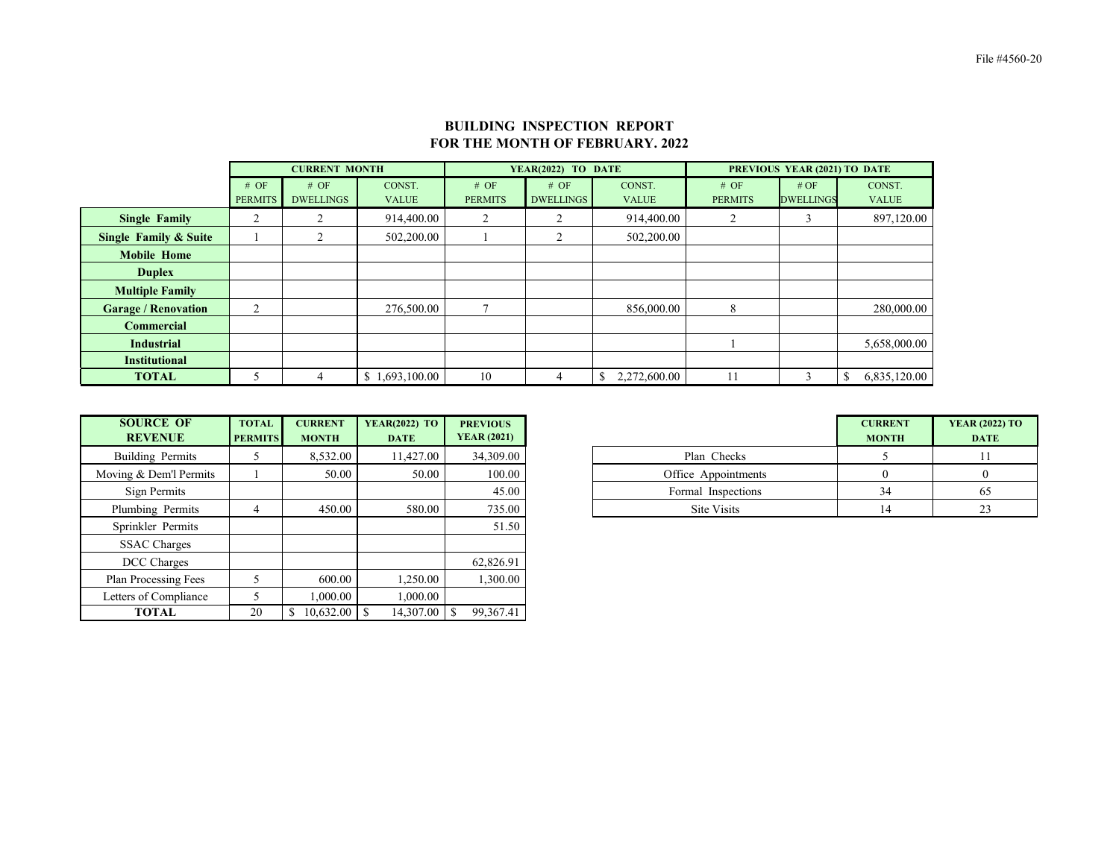|                                  |                | <b>CURRENT MONTH</b> |                |                | YEAR(2022) TO DATE |              | PREVIOUS YEAR (2021) TO DATE |                  |              |  |  |
|----------------------------------|----------------|----------------------|----------------|----------------|--------------------|--------------|------------------------------|------------------|--------------|--|--|
|                                  | # OF           | # OF                 | CONST.         | # OF           | # OF               | CONST.       | # OF                         | # OF             | CONST.       |  |  |
|                                  | <b>PERMITS</b> | <b>DWELLINGS</b>     | <b>VALUE</b>   | <b>PERMITS</b> | <b>DWELLINGS</b>   | <b>VALUE</b> | <b>PERMITS</b>               | <b>DWELLINGS</b> | <b>VALUE</b> |  |  |
| <b>Single Family</b>             | ◠<br>∠         |                      | 914,400.00     | 2              |                    | 914,400.00   | 2                            | 3                | 897,120.00   |  |  |
| <b>Single Family &amp; Suite</b> |                |                      | 502,200.00     |                |                    | 502,200.00   |                              |                  |              |  |  |
| <b>Mobile Home</b>               |                |                      |                |                |                    |              |                              |                  |              |  |  |
| <b>Duplex</b>                    |                |                      |                |                |                    |              |                              |                  |              |  |  |
| <b>Multiple Family</b>           |                |                      |                |                |                    |              |                              |                  |              |  |  |
| <b>Garage / Renovation</b>       | ◠              |                      | 276,500.00     |                |                    | 856,000.00   | 8                            |                  | 280,000.00   |  |  |
| <b>Commercial</b>                |                |                      |                |                |                    |              |                              |                  |              |  |  |
| <b>Industrial</b>                |                |                      |                |                |                    |              |                              |                  | 5,658,000.00 |  |  |
| <b>Institutional</b>             |                |                      |                |                |                    |              |                              |                  |              |  |  |
| <b>TOTAL</b>                     |                |                      | \$1,693,100.00 | 10             | 4                  | 2,272,600.00 | 11                           | 3                | 6,835,120.00 |  |  |

| <b>SOURCE OF</b><br><b>REVENUE</b> | <b>TOTAL</b><br><b>PERMITS</b> | <b>CURRENT</b><br><b>MONTH</b> | <b>YEAR(2022) TO</b><br><b>DATE</b> | <b>PREVIOUS</b><br><b>YEAR (2021)</b> |
|------------------------------------|--------------------------------|--------------------------------|-------------------------------------|---------------------------------------|
| Building Permits                   |                                | 8,532.00                       | 11,427.00                           | 34,309.00                             |
| ing & Dem'l Permits                |                                | 50.00                          | 50.00                               | 100.00                                |
| Sign Permits                       |                                |                                |                                     | 45.00                                 |
| lumbing Permits                    |                                | 450.00                         | 580.00                              | 735.00                                |

| <b>SOURCE OF</b><br><b>REVENUE</b> | <b>TOTAL</b><br><b>PERMITS</b> | <b>CURRENT</b><br><b>MONTH</b> | <b>YEAR(2022) TO</b><br><b>DATE</b> | <b>PREVIOUS</b><br><b>YEAR (2021)</b> |                     | <b>CURRENT</b><br><b>MONTH</b> |  |
|------------------------------------|--------------------------------|--------------------------------|-------------------------------------|---------------------------------------|---------------------|--------------------------------|--|
| Building Permits                   | C                              | 8,532.00                       | 11,427.00                           | 34,309.00                             | Plan Checks         |                                |  |
| Moving & Dem'l Permits             |                                | 50.00                          | 50.00                               | 100.00                                | Office Appointments | $\theta$                       |  |
| Sign Permits                       |                                |                                |                                     | 45.00                                 | Formal Inspections  | 34                             |  |
| Plumbing Permits                   | 4                              | 450.00                         | 580.00                              | 735.00                                | Site Visits         | 14                             |  |
| Sprinkler Permits                  |                                |                                |                                     | 51.50                                 |                     |                                |  |
| <b>SSAC Charges</b>                |                                |                                |                                     |                                       |                     |                                |  |
| DCC Charges                        |                                |                                |                                     | 62,826.91                             |                     |                                |  |
| <b>Plan Processing Fees</b>        |                                | 600.00                         | 1,250.00                            | 1,300.00                              |                     |                                |  |
| Letters of Compliance              |                                | 000.00                         | 0.000.00                            |                                       |                     |                                |  |
| <b>TOTAL</b>                       | 20                             | $\mathbb{S}$                   | 14,307.00                           | 99,367.41                             |                     |                                |  |

## **BUILDING INSPECTION REPORT FOR THE MONTH OF FEBRUARY. 2022**